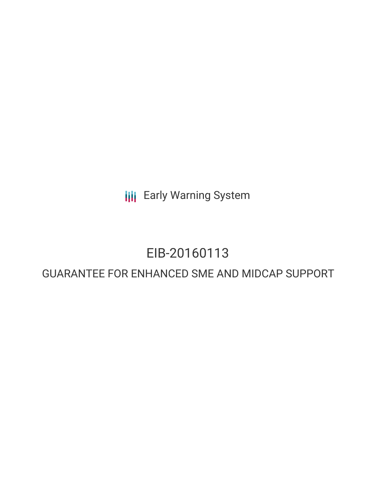**III** Early Warning System

# EIB-20160113

# GUARANTEE FOR ENHANCED SME AND MIDCAP SUPPORT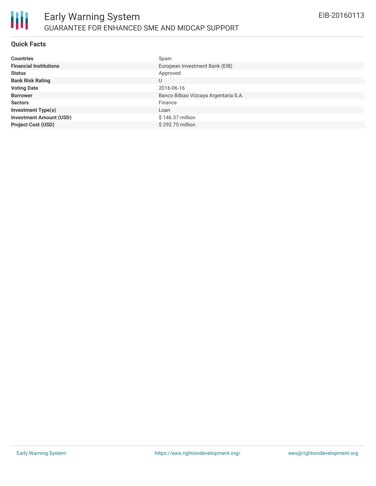

### **Quick Facts**

| <b>Countries</b>               | Spain                                |
|--------------------------------|--------------------------------------|
| <b>Financial Institutions</b>  | European Investment Bank (EIB)       |
| <b>Status</b>                  | Approved                             |
| <b>Bank Risk Rating</b>        | U                                    |
| <b>Voting Date</b>             | 2016-06-16                           |
| <b>Borrower</b>                | Banco Bilbao Vizcaya Argentaria S.A. |
| <b>Sectors</b>                 | Finance                              |
| <b>Investment Type(s)</b>      | Loan                                 |
| <b>Investment Amount (USD)</b> | \$146.37 million                     |
| <b>Project Cost (USD)</b>      | \$292.75 million                     |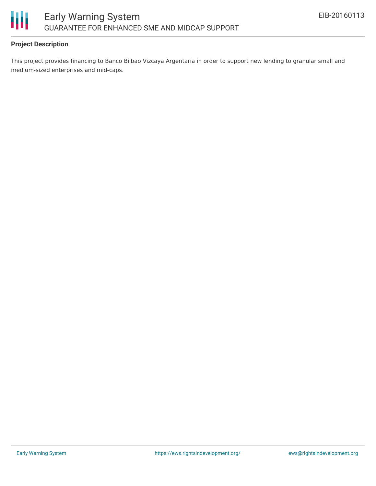

# **Project Description**

This project provides financing to Banco Bilbao Vizcaya Argentaria in order to support new lending to granular small and medium-sized enterprises and mid-caps.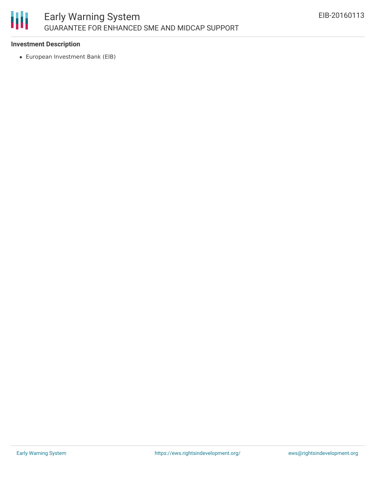

# **Investment Description**

European Investment Bank (EIB)